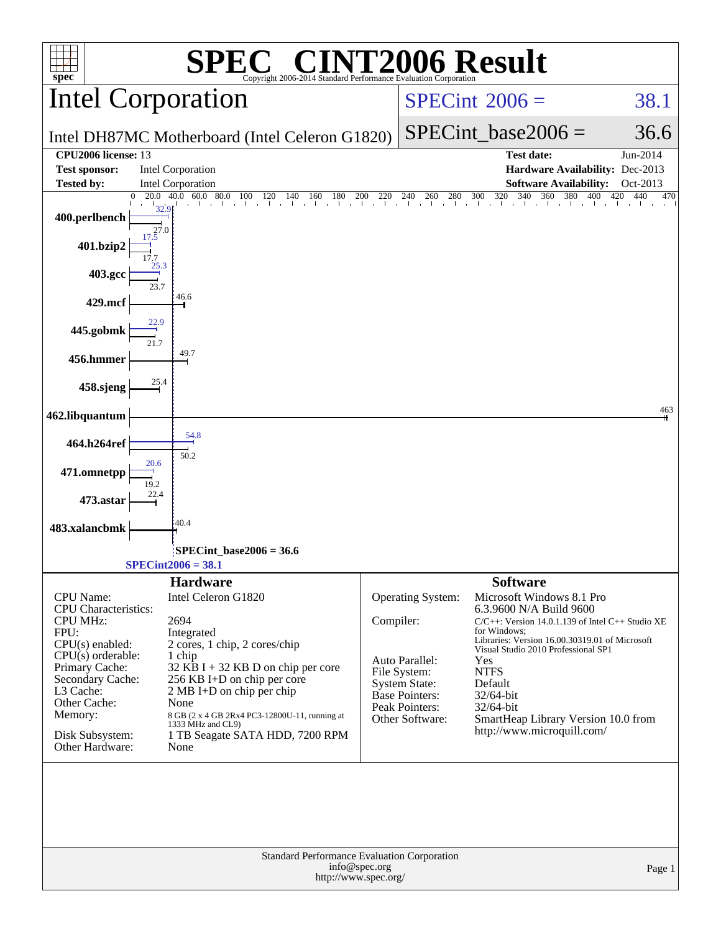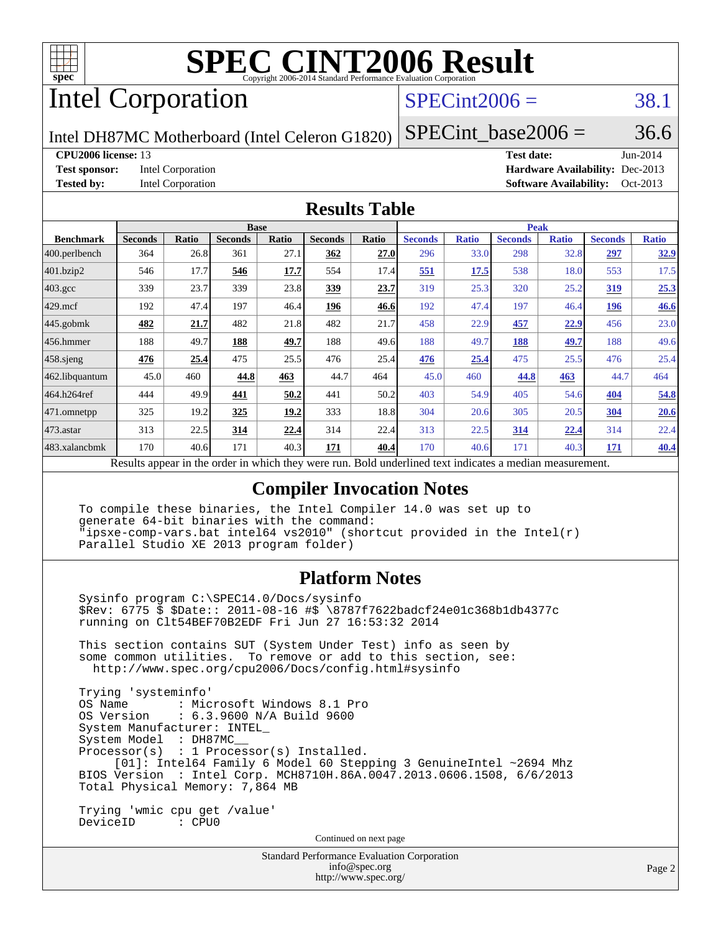

# Intel Corporation

## $SPECint2006 = 38.1$  $SPECint2006 = 38.1$

Intel DH87MC Motherboard (Intel Celeron G1820)

SPECint base2006 =  $36.6$ 

**[CPU2006 license:](http://www.spec.org/auto/cpu2006/Docs/result-fields.html#CPU2006license)** 13 **[Test date:](http://www.spec.org/auto/cpu2006/Docs/result-fields.html#Testdate)** Jun-2014 **[Test sponsor:](http://www.spec.org/auto/cpu2006/Docs/result-fields.html#Testsponsor)** Intel Corporation **[Hardware Availability:](http://www.spec.org/auto/cpu2006/Docs/result-fields.html#HardwareAvailability)** Dec-2013 **[Tested by:](http://www.spec.org/auto/cpu2006/Docs/result-fields.html#Testedby)** Intel Corporation **[Software Availability:](http://www.spec.org/auto/cpu2006/Docs/result-fields.html#SoftwareAvailability)** Oct-2013

#### **[Results Table](http://www.spec.org/auto/cpu2006/Docs/result-fields.html#ResultsTable)**

|                    | <b>Base</b>                                       |              |                |       | <b>Peak</b>    |       |                                                     |              |                |              |                |              |
|--------------------|---------------------------------------------------|--------------|----------------|-------|----------------|-------|-----------------------------------------------------|--------------|----------------|--------------|----------------|--------------|
| <b>Benchmark</b>   | <b>Seconds</b>                                    | <b>Ratio</b> | <b>Seconds</b> | Ratio | <b>Seconds</b> | Ratio | <b>Seconds</b>                                      | <b>Ratio</b> | <b>Seconds</b> | <b>Ratio</b> | <b>Seconds</b> | <b>Ratio</b> |
| 400.perlbench      | 364                                               | 26.8         | 361            | 27.1  | 362            | 27.0  | 296                                                 | 33.0         | 298            | 32.8         | 297            | 32.9         |
| 401.bzip2          | 546                                               | 17.7         | 546            | 17.7  | 554            | 17.4  | 551                                                 | 17.5         | 538            | 18.0         | 553            | 17.5         |
| $403.\mathrm{gcc}$ | 339                                               | 23.7         | 339            | 23.8  | <u>339</u>     | 23.7  | 319                                                 | 25.3         | 320            | 25.2         | <u>319</u>     | 25.3         |
| $429$ .mcf         | 192                                               | 47.4         | 197            | 46.4  | 196            | 46.6  | 192                                                 | 47.4         | 197            | 46.4         | 196            | 46.6         |
| $445$ .gobmk       | 482                                               | 21.7         | 482            | 21.8  | 482            | 21.7  | 458                                                 | 22.9         | 457            | 22.9         | 456            | 23.0         |
| 456.hmmer          | 188                                               | 49.7         | 188            | 49.7  | 188            | 49.6  | 188                                                 | 49.7         | 188            | 49.7         | 188            | 49.6         |
| $458$ .sjeng       | 476                                               | 25.4         | 475            | 25.5  | 476            | 25.4  | 476                                                 | 25.4         | 475            | 25.5         | 476            | 25.4         |
| 462.libquantum     | 45.0                                              | 460          | 44.8           | 463   | 44.7           | 464   | 45.0                                                | 460          | 44.8           | 463          | 44.7           | 464          |
| 464.h264ref        | 444                                               | 49.9         | 441            | 50.2  | 441            | 50.2  | 403                                                 | 54.9         | 405            | 54.6         | 404            | 54.8         |
| 471.omnetpp        | 325                                               | 19.2         | 325            | 19.2  | 333            | 18.8  | 304                                                 | 20.6         | 305            | 20.5         | 304            | 20.6         |
| 473.astar          | 313                                               | 22.5         | 314            | 22.4  | 314            | 22.4  | 313                                                 | 22.5         | <u>314</u>     | <u>22.4</u>  | 314            | 22.4         |
| 483.xalancbmk      | 170                                               | 40.6         | 171            | 40.3  | 171            | 40.4  | 170                                                 | 40.6         | 171            | 40.3         | 171            | 40.4         |
|                    | Decute ennoye in the order in which they were mun |              |                |       |                |       | Dold underlined text indicates a madian measurement |              |                |              |                |              |

Results appear in the [order in which they were run.](http://www.spec.org/auto/cpu2006/Docs/result-fields.html#RunOrder) Bold underlined text [indicates a median measurement.](http://www.spec.org/auto/cpu2006/Docs/result-fields.html#Median)

#### **[Compiler Invocation Notes](http://www.spec.org/auto/cpu2006/Docs/result-fields.html#CompilerInvocationNotes)**

 To compile these binaries, the Intel Compiler 14.0 was set up to generate 64-bit binaries with the command: "ipsxe-comp-vars.bat intel64 vs2010" (shortcut provided in the Intel(r) Parallel Studio XE 2013 program folder)

#### **[Platform Notes](http://www.spec.org/auto/cpu2006/Docs/result-fields.html#PlatformNotes)**

 Sysinfo program C:\SPEC14.0/Docs/sysinfo \$Rev: 6775 \$ \$Date:: 2011-08-16 #\$ \8787f7622badcf24e01c368b1db4377c running on Clt54BEF70B2EDF Fri Jun 27 16:53:32 2014 This section contains SUT (System Under Test) info as seen by

 some common utilities. To remove or add to this section, see: <http://www.spec.org/cpu2006/Docs/config.html#sysinfo>

 Trying 'systeminfo' : Microsoft Windows 8.1 Pro OS Version : 6.3.9600 N/A Build 9600 System Manufacturer: INTEL\_ System Model : DH87MC\_\_ Processor(s) : 1 Processor(s) Installed. [01]: Intel64 Family 6 Model 60 Stepping 3 GenuineIntel ~2694 Mhz BIOS Version : Intel Corp. MCH8710H.86A.0047.2013.0606.1508, 6/6/2013 Total Physical Memory: 7,864 MB

 Trying 'wmic cpu get /value' DeviceID : CPU0

Continued on next page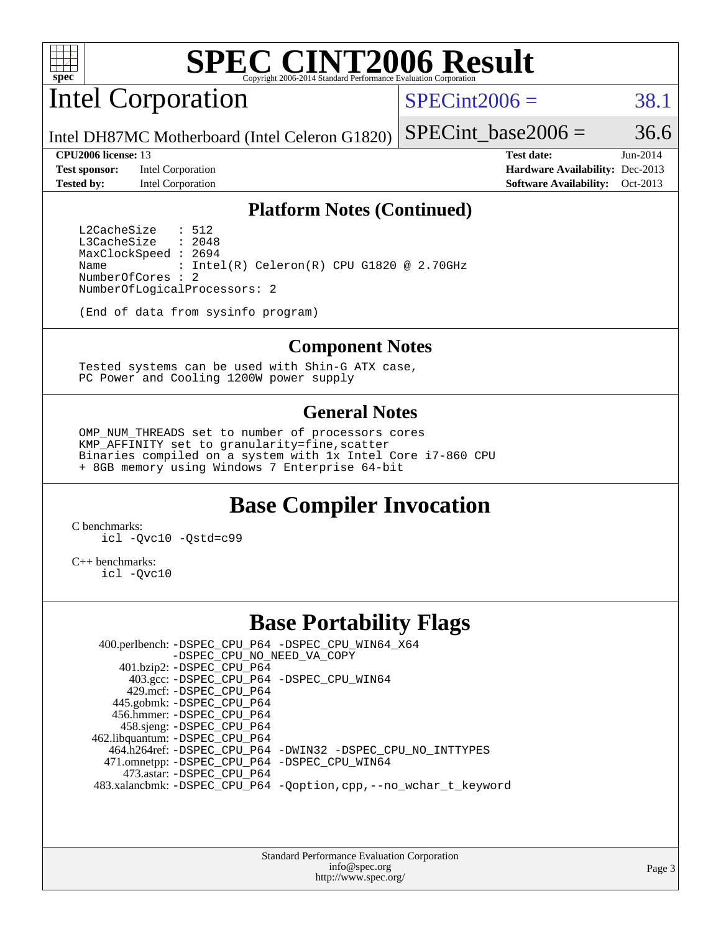

Intel Corporation

 $SPECint2006 = 38.1$  $SPECint2006 = 38.1$ 

Intel DH87MC Motherboard (Intel Celeron G1820) SPECint base2006 =  $36.6$ 

**[Test sponsor:](http://www.spec.org/auto/cpu2006/Docs/result-fields.html#Testsponsor)** Intel Corporation **[Hardware Availability:](http://www.spec.org/auto/cpu2006/Docs/result-fields.html#HardwareAvailability)** Dec-2013 **[Tested by:](http://www.spec.org/auto/cpu2006/Docs/result-fields.html#Testedby)** Intel Corporation **[Software Availability:](http://www.spec.org/auto/cpu2006/Docs/result-fields.html#SoftwareAvailability)** Oct-2013

**[CPU2006 license:](http://www.spec.org/auto/cpu2006/Docs/result-fields.html#CPU2006license)** 13 **[Test date:](http://www.spec.org/auto/cpu2006/Docs/result-fields.html#Testdate)** Jun-2014

#### **[Platform Notes \(Continued\)](http://www.spec.org/auto/cpu2006/Docs/result-fields.html#PlatformNotes)**

L2CacheSize : 512<br>L3CacheSize : 2048 L3CacheSize MaxClockSpeed : 2694 Name : Intel(R) Celeron(R) CPU G1820 @ 2.70GHz NumberOfCores : 2 NumberOfLogicalProcessors: 2

(End of data from sysinfo program)

#### **[Component Notes](http://www.spec.org/auto/cpu2006/Docs/result-fields.html#ComponentNotes)**

 Tested systems can be used with Shin-G ATX case, PC Power and Cooling 1200W power supply

#### **[General Notes](http://www.spec.org/auto/cpu2006/Docs/result-fields.html#GeneralNotes)**

 OMP\_NUM\_THREADS set to number of processors cores KMP\_AFFINITY set to granularity=fine,scatter Binaries compiled on a system with 1x Intel Core i7-860 CPU + 8GB memory using Windows 7 Enterprise 64-bit

## **[Base Compiler Invocation](http://www.spec.org/auto/cpu2006/Docs/result-fields.html#BaseCompilerInvocation)**

[C benchmarks](http://www.spec.org/auto/cpu2006/Docs/result-fields.html#Cbenchmarks): [icl -Qvc10](http://www.spec.org/cpu2006/results/res2014q3/cpu2006-20140715-30435.flags.html#user_CCbase_intel_icc_vc10_9607f3ecbcdf68042245f068e51b40c1) [-Qstd=c99](http://www.spec.org/cpu2006/results/res2014q3/cpu2006-20140715-30435.flags.html#user_CCbase_intel_compiler_c99_mode_1a3d110e3041b3ad4466830521bdad2a)

[C++ benchmarks:](http://www.spec.org/auto/cpu2006/Docs/result-fields.html#CXXbenchmarks) [icl -Qvc10](http://www.spec.org/cpu2006/results/res2014q3/cpu2006-20140715-30435.flags.html#user_CXXbase_intel_icc_vc10_9607f3ecbcdf68042245f068e51b40c1)

### **[Base Portability Flags](http://www.spec.org/auto/cpu2006/Docs/result-fields.html#BasePortabilityFlags)**

 400.perlbench: [-DSPEC\\_CPU\\_P64](http://www.spec.org/cpu2006/results/res2014q3/cpu2006-20140715-30435.flags.html#b400.perlbench_basePORTABILITY_DSPEC_CPU_P64) [-DSPEC\\_CPU\\_WIN64\\_X64](http://www.spec.org/cpu2006/results/res2014q3/cpu2006-20140715-30435.flags.html#b400.perlbench_baseCPORTABILITY_DSPEC_CPU_WIN64_X64) [-DSPEC\\_CPU\\_NO\\_NEED\\_VA\\_COPY](http://www.spec.org/cpu2006/results/res2014q3/cpu2006-20140715-30435.flags.html#b400.perlbench_baseCPORTABILITY_DSPEC_CPU_NO_NEED_VA_COPY) 401.bzip2: [-DSPEC\\_CPU\\_P64](http://www.spec.org/cpu2006/results/res2014q3/cpu2006-20140715-30435.flags.html#suite_basePORTABILITY401_bzip2_DSPEC_CPU_P64) 403.gcc: [-DSPEC\\_CPU\\_P64](http://www.spec.org/cpu2006/results/res2014q3/cpu2006-20140715-30435.flags.html#suite_basePORTABILITY403_gcc_DSPEC_CPU_P64) [-DSPEC\\_CPU\\_WIN64](http://www.spec.org/cpu2006/results/res2014q3/cpu2006-20140715-30435.flags.html#b403.gcc_baseCPORTABILITY_DSPEC_CPU_WIN64) 429.mcf: [-DSPEC\\_CPU\\_P64](http://www.spec.org/cpu2006/results/res2014q3/cpu2006-20140715-30435.flags.html#suite_basePORTABILITY429_mcf_DSPEC_CPU_P64) 445.gobmk: [-DSPEC\\_CPU\\_P64](http://www.spec.org/cpu2006/results/res2014q3/cpu2006-20140715-30435.flags.html#suite_basePORTABILITY445_gobmk_DSPEC_CPU_P64) 456.hmmer: [-DSPEC\\_CPU\\_P64](http://www.spec.org/cpu2006/results/res2014q3/cpu2006-20140715-30435.flags.html#suite_basePORTABILITY456_hmmer_DSPEC_CPU_P64) 458.sjeng: [-DSPEC\\_CPU\\_P64](http://www.spec.org/cpu2006/results/res2014q3/cpu2006-20140715-30435.flags.html#suite_basePORTABILITY458_sjeng_DSPEC_CPU_P64) 462.libquantum: [-DSPEC\\_CPU\\_P64](http://www.spec.org/cpu2006/results/res2014q3/cpu2006-20140715-30435.flags.html#suite_basePORTABILITY462_libquantum_DSPEC_CPU_P64) 464.h264ref: [-DSPEC\\_CPU\\_P64](http://www.spec.org/cpu2006/results/res2014q3/cpu2006-20140715-30435.flags.html#suite_basePORTABILITY464_h264ref_DSPEC_CPU_P64) [-DWIN32](http://www.spec.org/cpu2006/results/res2014q3/cpu2006-20140715-30435.flags.html#b464.h264ref_baseCPORTABILITY_DWIN32) [-DSPEC\\_CPU\\_NO\\_INTTYPES](http://www.spec.org/cpu2006/results/res2014q3/cpu2006-20140715-30435.flags.html#b464.h264ref_baseCPORTABILITY_DSPEC_CPU_NO_INTTYPES) 471.omnetpp: [-DSPEC\\_CPU\\_P64](http://www.spec.org/cpu2006/results/res2014q3/cpu2006-20140715-30435.flags.html#suite_basePORTABILITY471_omnetpp_DSPEC_CPU_P64) [-DSPEC\\_CPU\\_WIN64](http://www.spec.org/cpu2006/results/res2014q3/cpu2006-20140715-30435.flags.html#b471.omnetpp_baseCXXPORTABILITY_DSPEC_CPU_WIN64) 473.astar: [-DSPEC\\_CPU\\_P64](http://www.spec.org/cpu2006/results/res2014q3/cpu2006-20140715-30435.flags.html#suite_basePORTABILITY473_astar_DSPEC_CPU_P64) 483.xalancbmk: [-DSPEC\\_CPU\\_P64](http://www.spec.org/cpu2006/results/res2014q3/cpu2006-20140715-30435.flags.html#suite_basePORTABILITY483_xalancbmk_DSPEC_CPU_P64) [-Qoption,cpp,--no\\_wchar\\_t\\_keyword](http://www.spec.org/cpu2006/results/res2014q3/cpu2006-20140715-30435.flags.html#user_baseCXXPORTABILITY483_xalancbmk_f-no_wchar_t_keyword_ec0ad4495a16b4e858bfcb29d949d25d)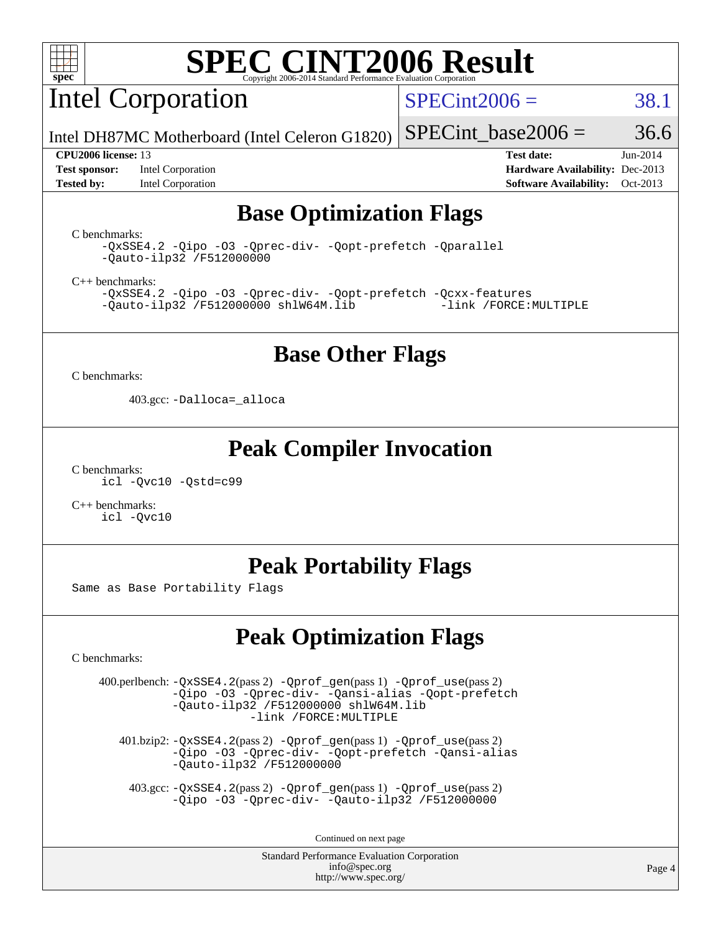

Intel Corporation

 $SPECint2006 = 38.1$  $SPECint2006 = 38.1$ 

Intel DH87MC Motherboard (Intel Celeron G1820) SPECint base2006 =  $36.6$ 

**[Test sponsor:](http://www.spec.org/auto/cpu2006/Docs/result-fields.html#Testsponsor)** Intel Corporation **[Hardware Availability:](http://www.spec.org/auto/cpu2006/Docs/result-fields.html#HardwareAvailability)** Dec-2013

**[CPU2006 license:](http://www.spec.org/auto/cpu2006/Docs/result-fields.html#CPU2006license)** 13 **[Test date:](http://www.spec.org/auto/cpu2006/Docs/result-fields.html#Testdate)** Jun-2014 **[Tested by:](http://www.spec.org/auto/cpu2006/Docs/result-fields.html#Testedby)** Intel Corporation **[Software Availability:](http://www.spec.org/auto/cpu2006/Docs/result-fields.html#SoftwareAvailability)** Oct-2013

## **[Base Optimization Flags](http://www.spec.org/auto/cpu2006/Docs/result-fields.html#BaseOptimizationFlags)**

[C benchmarks](http://www.spec.org/auto/cpu2006/Docs/result-fields.html#Cbenchmarks):

[-QxSSE4.2](http://www.spec.org/cpu2006/results/res2014q3/cpu2006-20140715-30435.flags.html#user_CCbase_f-QxSSE42_372695bbe211719895df0310b324a1ca) [-Qipo](http://www.spec.org/cpu2006/results/res2014q3/cpu2006-20140715-30435.flags.html#user_CCbase_f-Qipo) [-O3](http://www.spec.org/cpu2006/results/res2014q3/cpu2006-20140715-30435.flags.html#user_CCbase_f-O3) [-Qprec-div-](http://www.spec.org/cpu2006/results/res2014q3/cpu2006-20140715-30435.flags.html#user_CCbase_f-Qprec-div-) [-Qopt-prefetch](http://www.spec.org/cpu2006/results/res2014q3/cpu2006-20140715-30435.flags.html#user_CCbase_f-Qprefetch_37c211608666b9dff9380561f602f0a8) [-Qparallel](http://www.spec.org/cpu2006/results/res2014q3/cpu2006-20140715-30435.flags.html#user_CCbase_f-Qparallel) [-Qauto-ilp32](http://www.spec.org/cpu2006/results/res2014q3/cpu2006-20140715-30435.flags.html#user_CCbase_f-Qauto-ilp32) [/F512000000](http://www.spec.org/cpu2006/results/res2014q3/cpu2006-20140715-30435.flags.html#user_CCbase_set_stack_space_98438a10eb60aa5f35f4c79d9b9b27b1)

[C++ benchmarks:](http://www.spec.org/auto/cpu2006/Docs/result-fields.html#CXXbenchmarks)

[-QxSSE4.2](http://www.spec.org/cpu2006/results/res2014q3/cpu2006-20140715-30435.flags.html#user_CXXbase_f-QxSSE42_372695bbe211719895df0310b324a1ca) [-Qipo](http://www.spec.org/cpu2006/results/res2014q3/cpu2006-20140715-30435.flags.html#user_CXXbase_f-Qipo) [-O3](http://www.spec.org/cpu2006/results/res2014q3/cpu2006-20140715-30435.flags.html#user_CXXbase_f-O3) [-Qprec-div-](http://www.spec.org/cpu2006/results/res2014q3/cpu2006-20140715-30435.flags.html#user_CXXbase_f-Qprec-div-) [-Qopt-prefetch](http://www.spec.org/cpu2006/results/res2014q3/cpu2006-20140715-30435.flags.html#user_CXXbase_f-Qprefetch_37c211608666b9dff9380561f602f0a8) [-Qcxx-features](http://www.spec.org/cpu2006/results/res2014q3/cpu2006-20140715-30435.flags.html#user_CXXbase_f-Qcxx_features_dbf36c8a6dba956e22f1645e4dcd4d98)  $-Qauto-ilp32$  [/F512000000](http://www.spec.org/cpu2006/results/res2014q3/cpu2006-20140715-30435.flags.html#user_CXXbase_set_stack_space_98438a10eb60aa5f35f4c79d9b9b27b1) [shlW64M.lib](http://www.spec.org/cpu2006/results/res2014q3/cpu2006-20140715-30435.flags.html#user_CXXbase_SmartHeap64_c4f7f76711bdf8c0633a5c1edf6e5396)

### **[Base Other Flags](http://www.spec.org/auto/cpu2006/Docs/result-fields.html#BaseOtherFlags)**

[C benchmarks](http://www.spec.org/auto/cpu2006/Docs/result-fields.html#Cbenchmarks):

403.gcc: [-Dalloca=\\_alloca](http://www.spec.org/cpu2006/results/res2014q3/cpu2006-20140715-30435.flags.html#b403.gcc_baseEXTRA_CFLAGS_Dalloca_be3056838c12de2578596ca5467af7f3)

#### **[Peak Compiler Invocation](http://www.spec.org/auto/cpu2006/Docs/result-fields.html#PeakCompilerInvocation)**

[C benchmarks](http://www.spec.org/auto/cpu2006/Docs/result-fields.html#Cbenchmarks): [icl -Qvc10](http://www.spec.org/cpu2006/results/res2014q3/cpu2006-20140715-30435.flags.html#user_CCpeak_intel_icc_vc10_9607f3ecbcdf68042245f068e51b40c1) [-Qstd=c99](http://www.spec.org/cpu2006/results/res2014q3/cpu2006-20140715-30435.flags.html#user_CCpeak_intel_compiler_c99_mode_1a3d110e3041b3ad4466830521bdad2a)

[C++ benchmarks:](http://www.spec.org/auto/cpu2006/Docs/result-fields.html#CXXbenchmarks) [icl -Qvc10](http://www.spec.org/cpu2006/results/res2014q3/cpu2006-20140715-30435.flags.html#user_CXXpeak_intel_icc_vc10_9607f3ecbcdf68042245f068e51b40c1)

## **[Peak Portability Flags](http://www.spec.org/auto/cpu2006/Docs/result-fields.html#PeakPortabilityFlags)**

Same as Base Portability Flags

## **[Peak Optimization Flags](http://www.spec.org/auto/cpu2006/Docs/result-fields.html#PeakOptimizationFlags)**

[C benchmarks](http://www.spec.org/auto/cpu2006/Docs/result-fields.html#Cbenchmarks):

 400.perlbench: [-QxSSE4.2](http://www.spec.org/cpu2006/results/res2014q3/cpu2006-20140715-30435.flags.html#user_peakPASS2_CFLAGSPASS2_LDFLAGS400_perlbench_f-QxSSE42_372695bbe211719895df0310b324a1ca)(pass 2) [-Qprof\\_gen](http://www.spec.org/cpu2006/results/res2014q3/cpu2006-20140715-30435.flags.html#user_peakPASS1_CFLAGSPASS1_LDFLAGS400_perlbench_Qprof_gen)(pass 1) [-Qprof\\_use](http://www.spec.org/cpu2006/results/res2014q3/cpu2006-20140715-30435.flags.html#user_peakPASS2_CFLAGSPASS2_LDFLAGS400_perlbench_Qprof_use)(pass 2) [-Qipo](http://www.spec.org/cpu2006/results/res2014q3/cpu2006-20140715-30435.flags.html#user_peakOPTIMIZE400_perlbench_f-Qipo) [-O3](http://www.spec.org/cpu2006/results/res2014q3/cpu2006-20140715-30435.flags.html#user_peakOPTIMIZE400_perlbench_f-O3) [-Qprec-div-](http://www.spec.org/cpu2006/results/res2014q3/cpu2006-20140715-30435.flags.html#user_peakOPTIMIZE400_perlbench_f-Qprec-div-) [-Qansi-alias](http://www.spec.org/cpu2006/results/res2014q3/cpu2006-20140715-30435.flags.html#user_peakOPTIMIZE400_perlbench_f-Qansi-alias) [-Qopt-prefetch](http://www.spec.org/cpu2006/results/res2014q3/cpu2006-20140715-30435.flags.html#user_peakOPTIMIZE400_perlbench_f-Qprefetch_37c211608666b9dff9380561f602f0a8) [-Qauto-ilp32](http://www.spec.org/cpu2006/results/res2014q3/cpu2006-20140715-30435.flags.html#user_peakCOPTIMIZE400_perlbench_f-Qauto-ilp32) [/F512000000](http://www.spec.org/cpu2006/results/res2014q3/cpu2006-20140715-30435.flags.html#user_peakEXTRA_LDFLAGS400_perlbench_set_stack_space_98438a10eb60aa5f35f4c79d9b9b27b1) [shlW64M.lib](http://www.spec.org/cpu2006/results/res2014q3/cpu2006-20140715-30435.flags.html#user_peakEXTRA_LIBS400_perlbench_SmartHeap64_c4f7f76711bdf8c0633a5c1edf6e5396)  [-link /FORCE:MULTIPLE](http://www.spec.org/cpu2006/results/res2014q3/cpu2006-20140715-30435.flags.html#user_peakLDOUT400_perlbench_link_force_multiple2_070fe330869edf77077b841074b8b0b6)

 401.bzip2: [-QxSSE4.2](http://www.spec.org/cpu2006/results/res2014q3/cpu2006-20140715-30435.flags.html#user_peakPASS2_CFLAGSPASS2_LDFLAGS401_bzip2_f-QxSSE42_372695bbe211719895df0310b324a1ca)(pass 2) [-Qprof\\_gen](http://www.spec.org/cpu2006/results/res2014q3/cpu2006-20140715-30435.flags.html#user_peakPASS1_CFLAGSPASS1_LDFLAGS401_bzip2_Qprof_gen)(pass 1) [-Qprof\\_use](http://www.spec.org/cpu2006/results/res2014q3/cpu2006-20140715-30435.flags.html#user_peakPASS2_CFLAGSPASS2_LDFLAGS401_bzip2_Qprof_use)(pass 2) [-Qipo](http://www.spec.org/cpu2006/results/res2014q3/cpu2006-20140715-30435.flags.html#user_peakOPTIMIZE401_bzip2_f-Qipo) [-O3](http://www.spec.org/cpu2006/results/res2014q3/cpu2006-20140715-30435.flags.html#user_peakOPTIMIZE401_bzip2_f-O3) [-Qprec-div-](http://www.spec.org/cpu2006/results/res2014q3/cpu2006-20140715-30435.flags.html#user_peakOPTIMIZE401_bzip2_f-Qprec-div-) [-Qopt-prefetch](http://www.spec.org/cpu2006/results/res2014q3/cpu2006-20140715-30435.flags.html#user_peakOPTIMIZE401_bzip2_f-Qprefetch_37c211608666b9dff9380561f602f0a8) [-Qansi-alias](http://www.spec.org/cpu2006/results/res2014q3/cpu2006-20140715-30435.flags.html#user_peakOPTIMIZE401_bzip2_f-Qansi-alias) [-Qauto-ilp32](http://www.spec.org/cpu2006/results/res2014q3/cpu2006-20140715-30435.flags.html#user_peakCOPTIMIZE401_bzip2_f-Qauto-ilp32) [/F512000000](http://www.spec.org/cpu2006/results/res2014q3/cpu2006-20140715-30435.flags.html#user_peakEXTRA_LDFLAGS401_bzip2_set_stack_space_98438a10eb60aa5f35f4c79d9b9b27b1)

 403.gcc: [-QxSSE4.2](http://www.spec.org/cpu2006/results/res2014q3/cpu2006-20140715-30435.flags.html#user_peakPASS2_CFLAGSPASS2_LDFLAGS403_gcc_f-QxSSE42_372695bbe211719895df0310b324a1ca)(pass 2) [-Qprof\\_gen](http://www.spec.org/cpu2006/results/res2014q3/cpu2006-20140715-30435.flags.html#user_peakPASS1_CFLAGSPASS1_LDFLAGS403_gcc_Qprof_gen)(pass 1) [-Qprof\\_use](http://www.spec.org/cpu2006/results/res2014q3/cpu2006-20140715-30435.flags.html#user_peakPASS2_CFLAGSPASS2_LDFLAGS403_gcc_Qprof_use)(pass 2) [-Qipo](http://www.spec.org/cpu2006/results/res2014q3/cpu2006-20140715-30435.flags.html#user_peakOPTIMIZE403_gcc_f-Qipo) [-O3](http://www.spec.org/cpu2006/results/res2014q3/cpu2006-20140715-30435.flags.html#user_peakOPTIMIZE403_gcc_f-O3) [-Qprec-div-](http://www.spec.org/cpu2006/results/res2014q3/cpu2006-20140715-30435.flags.html#user_peakOPTIMIZE403_gcc_f-Qprec-div-) [-Qauto-ilp32](http://www.spec.org/cpu2006/results/res2014q3/cpu2006-20140715-30435.flags.html#user_peakCOPTIMIZE403_gcc_f-Qauto-ilp32) [/F512000000](http://www.spec.org/cpu2006/results/res2014q3/cpu2006-20140715-30435.flags.html#user_peakEXTRA_LDFLAGS403_gcc_set_stack_space_98438a10eb60aa5f35f4c79d9b9b27b1)

Continued on next page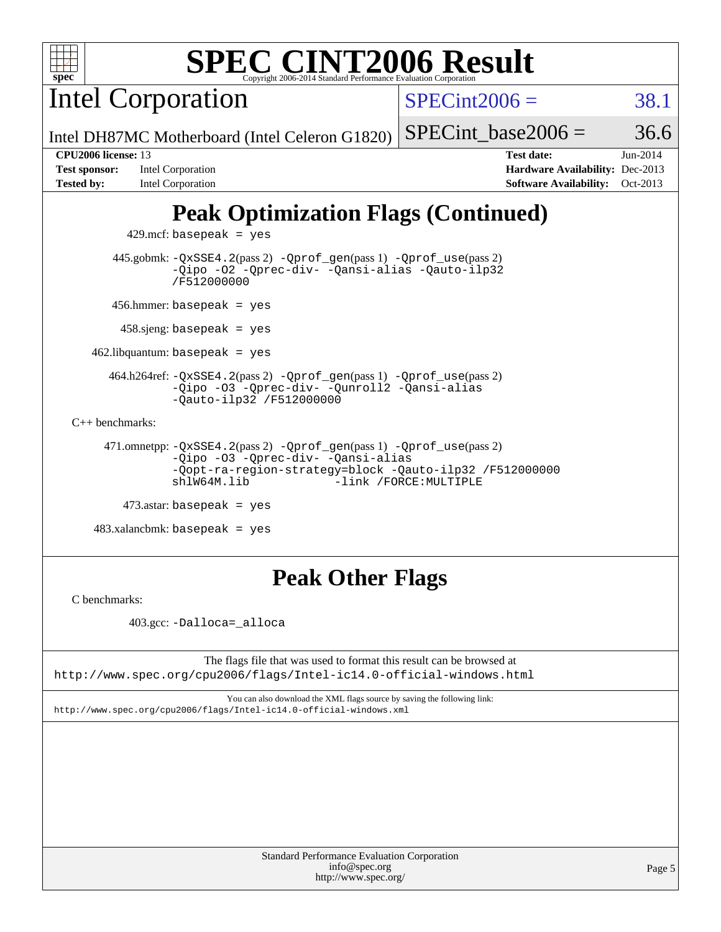Intel Corporation

 $SPECint2006 = 38.1$  $SPECint2006 = 38.1$ 

Intel DH87MC Motherboard (Intel Celeron G1820) SPECint base2006 =  $36.6$ 

**[Test sponsor:](http://www.spec.org/auto/cpu2006/Docs/result-fields.html#Testsponsor)** Intel Corporation **[Hardware Availability:](http://www.spec.org/auto/cpu2006/Docs/result-fields.html#HardwareAvailability)** Dec-2013 **[Tested by:](http://www.spec.org/auto/cpu2006/Docs/result-fields.html#Testedby)** Intel Corporation **[Software Availability:](http://www.spec.org/auto/cpu2006/Docs/result-fields.html#SoftwareAvailability)** Oct-2013

**[CPU2006 license:](http://www.spec.org/auto/cpu2006/Docs/result-fields.html#CPU2006license)** 13 **[Test date:](http://www.spec.org/auto/cpu2006/Docs/result-fields.html#Testdate)** Jun-2014

# **[Peak Optimization Flags \(Continued\)](http://www.spec.org/auto/cpu2006/Docs/result-fields.html#PeakOptimizationFlags)**

 $429$ .mcf: basepeak = yes 445.gobmk: [-QxSSE4.2](http://www.spec.org/cpu2006/results/res2014q3/cpu2006-20140715-30435.flags.html#user_peakPASS2_CFLAGSPASS2_LDFLAGS445_gobmk_f-QxSSE42_372695bbe211719895df0310b324a1ca)(pass 2) [-Qprof\\_gen](http://www.spec.org/cpu2006/results/res2014q3/cpu2006-20140715-30435.flags.html#user_peakPASS1_CFLAGSPASS1_LDFLAGS445_gobmk_Qprof_gen)(pass 1) [-Qprof\\_use](http://www.spec.org/cpu2006/results/res2014q3/cpu2006-20140715-30435.flags.html#user_peakPASS2_CFLAGSPASS2_LDFLAGS445_gobmk_Qprof_use)(pass 2) [-Qipo](http://www.spec.org/cpu2006/results/res2014q3/cpu2006-20140715-30435.flags.html#user_peakOPTIMIZE445_gobmk_f-Qipo) [-O2](http://www.spec.org/cpu2006/results/res2014q3/cpu2006-20140715-30435.flags.html#user_peakOPTIMIZE445_gobmk_f-O2) [-Qprec-div-](http://www.spec.org/cpu2006/results/res2014q3/cpu2006-20140715-30435.flags.html#user_peakOPTIMIZE445_gobmk_f-Qprec-div-) [-Qansi-alias](http://www.spec.org/cpu2006/results/res2014q3/cpu2006-20140715-30435.flags.html#user_peakOPTIMIZE445_gobmk_f-Qansi-alias) [-Qauto-ilp32](http://www.spec.org/cpu2006/results/res2014q3/cpu2006-20140715-30435.flags.html#user_peakCOPTIMIZE445_gobmk_f-Qauto-ilp32) [/F512000000](http://www.spec.org/cpu2006/results/res2014q3/cpu2006-20140715-30435.flags.html#user_peakEXTRA_LDFLAGS445_gobmk_set_stack_space_98438a10eb60aa5f35f4c79d9b9b27b1) 456.hmmer: basepeak = yes 458.sjeng: basepeak = yes  $462$ .libquantum: basepeak = yes 464.h264ref: [-QxSSE4.2](http://www.spec.org/cpu2006/results/res2014q3/cpu2006-20140715-30435.flags.html#user_peakPASS2_CFLAGSPASS2_LDFLAGS464_h264ref_f-QxSSE42_372695bbe211719895df0310b324a1ca)(pass 2) [-Qprof\\_gen](http://www.spec.org/cpu2006/results/res2014q3/cpu2006-20140715-30435.flags.html#user_peakPASS1_CFLAGSPASS1_LDFLAGS464_h264ref_Qprof_gen)(pass 1) [-Qprof\\_use](http://www.spec.org/cpu2006/results/res2014q3/cpu2006-20140715-30435.flags.html#user_peakPASS2_CFLAGSPASS2_LDFLAGS464_h264ref_Qprof_use)(pass 2) [-Qipo](http://www.spec.org/cpu2006/results/res2014q3/cpu2006-20140715-30435.flags.html#user_peakOPTIMIZE464_h264ref_f-Qipo) [-O3](http://www.spec.org/cpu2006/results/res2014q3/cpu2006-20140715-30435.flags.html#user_peakOPTIMIZE464_h264ref_f-O3) [-Qprec-div-](http://www.spec.org/cpu2006/results/res2014q3/cpu2006-20140715-30435.flags.html#user_peakOPTIMIZE464_h264ref_f-Qprec-div-) [-Qunroll2](http://www.spec.org/cpu2006/results/res2014q3/cpu2006-20140715-30435.flags.html#user_peakOPTIMIZE464_h264ref_f-Qunroll_1d9456aa650e77fc2a0cf43cef3fa08c) [-Qansi-alias](http://www.spec.org/cpu2006/results/res2014q3/cpu2006-20140715-30435.flags.html#user_peakOPTIMIZE464_h264ref_f-Qansi-alias) [-Qauto-ilp32](http://www.spec.org/cpu2006/results/res2014q3/cpu2006-20140715-30435.flags.html#user_peakCOPTIMIZE464_h264ref_f-Qauto-ilp32) [/F512000000](http://www.spec.org/cpu2006/results/res2014q3/cpu2006-20140715-30435.flags.html#user_peakEXTRA_LDFLAGS464_h264ref_set_stack_space_98438a10eb60aa5f35f4c79d9b9b27b1) [C++ benchmarks:](http://www.spec.org/auto/cpu2006/Docs/result-fields.html#CXXbenchmarks) 471.omnetpp: [-QxSSE4.2](http://www.spec.org/cpu2006/results/res2014q3/cpu2006-20140715-30435.flags.html#user_peakPASS2_CXXFLAGSPASS2_LDFLAGS471_omnetpp_f-QxSSE42_372695bbe211719895df0310b324a1ca)(pass 2) [-Qprof\\_gen](http://www.spec.org/cpu2006/results/res2014q3/cpu2006-20140715-30435.flags.html#user_peakPASS1_CXXFLAGSPASS1_LDFLAGS471_omnetpp_Qprof_gen)(pass 1) [-Qprof\\_use](http://www.spec.org/cpu2006/results/res2014q3/cpu2006-20140715-30435.flags.html#user_peakPASS2_CXXFLAGSPASS2_LDFLAGS471_omnetpp_Qprof_use)(pass 2) [-Qipo](http://www.spec.org/cpu2006/results/res2014q3/cpu2006-20140715-30435.flags.html#user_peakOPTIMIZE471_omnetpp_f-Qipo) [-O3](http://www.spec.org/cpu2006/results/res2014q3/cpu2006-20140715-30435.flags.html#user_peakOPTIMIZE471_omnetpp_f-O3) [-Qprec-div-](http://www.spec.org/cpu2006/results/res2014q3/cpu2006-20140715-30435.flags.html#user_peakOPTIMIZE471_omnetpp_f-Qprec-div-) [-Qansi-alias](http://www.spec.org/cpu2006/results/res2014q3/cpu2006-20140715-30435.flags.html#user_peakOPTIMIZE471_omnetpp_f-Qansi-alias) [-Qopt-ra-region-strategy=block](http://www.spec.org/cpu2006/results/res2014q3/cpu2006-20140715-30435.flags.html#user_peakOPTIMIZE471_omnetpp_f-Qopt-ra-region-strategy_d2240e80a5d9053a1fd400255dbf4159) [-Qauto-ilp32](http://www.spec.org/cpu2006/results/res2014q3/cpu2006-20140715-30435.flags.html#user_peakCXXOPTIMIZE471_omnetpp_f-Qauto-ilp32) [/F512000000](http://www.spec.org/cpu2006/results/res2014q3/cpu2006-20140715-30435.flags.html#user_peakEXTRA_LDFLAGS471_omnetpp_set_stack_space_98438a10eb60aa5f35f4c79d9b9b27b1) -link /FORCE: MULTIPLE 473.astar: basepeak = yes

483.xalancbmk: basepeak = yes

## **[Peak Other Flags](http://www.spec.org/auto/cpu2006/Docs/result-fields.html#PeakOtherFlags)**

[C benchmarks](http://www.spec.org/auto/cpu2006/Docs/result-fields.html#Cbenchmarks):

403.gcc: [-Dalloca=\\_alloca](http://www.spec.org/cpu2006/results/res2014q3/cpu2006-20140715-30435.flags.html#b403.gcc_peakEXTRA_CFLAGS_Dalloca_be3056838c12de2578596ca5467af7f3)

The flags file that was used to format this result can be browsed at <http://www.spec.org/cpu2006/flags/Intel-ic14.0-official-windows.html>

You can also download the XML flags source by saving the following link: <http://www.spec.org/cpu2006/flags/Intel-ic14.0-official-windows.xml>